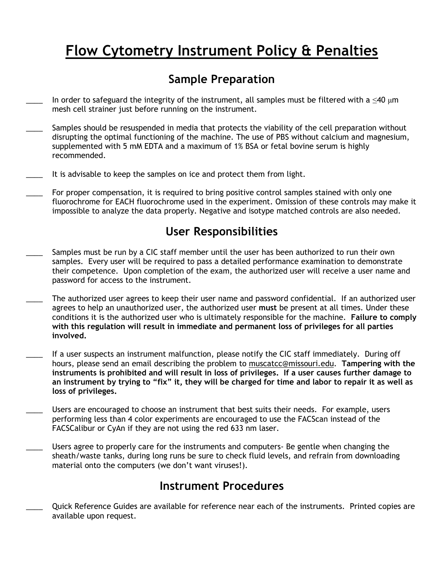## Flow Cytometry Instrument Policy & Penalties

### Sample Preparation

- In order to safeguard the integrity of the instrument, all samples must be filtered with a  $\leq$ 40  $\mu$ m mesh cell strainer just before running on the instrument.
- Samples should be resuspended in media that protects the viability of the cell preparation without disrupting the optimal functioning of the machine. The use of PBS without calcium and magnesium, supplemented with 5 mM EDTA and a maximum of 1% BSA or fetal bovine serum is highly recommended.
- It is advisable to keep the samples on ice and protect them from light.
- For proper compensation, it is required to bring positive control samples stained with only one fluorochrome for EACH fluorochrome used in the experiment. Omission of these controls may make it impossible to analyze the data properly. Negative and isotype matched controls are also needed.

#### User Responsibilities

- Samples must be run by a CIC staff member until the user has been authorized to run their own samples. Every user will be required to pass a detailed performance examination to demonstrate their competence. Upon completion of the exam, the authorized user will receive a user name and password for access to the instrument.
- The authorized user agrees to keep their user name and password confidential. If an authorized user agrees to help an unauthorized user, the authorized user must be present at all times. Under these conditions it is the authorized user who is ultimately responsible for the machine. Failure to comply with this regulation will result in immediate and permanent loss of privileges for all parties involved.
- If a user suspects an instrument malfunction, please notify the CIC staff immediately. During off hours, please send an email describing the problem to muscatcc@missouri.edu. Tampering with the instruments is prohibited and will result in loss of privileges. If a user causes further damage to an instrument by trying to "fix" it, they will be charged for time and labor to repair it as well as loss of privileges.
- Users are encouraged to choose an instrument that best suits their needs. For example, users performing less than 4 color experiments are encouraged to use the FACScan instead of the FACSCalibur or CyAn if they are not using the red 633 nm laser.
- Users agree to properly care for the instruments and computers- Be gentle when changing the sheath/waste tanks, during long runs be sure to check fluid levels, and refrain from downloading material onto the computers (we don't want viruses!).

#### Instrument Procedures

\_\_\_\_ Quick Reference Guides are available for reference near each of the instruments. Printed copies are available upon request.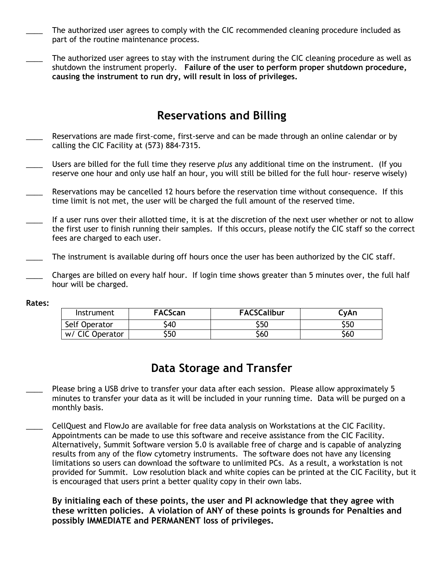- The authorized user agrees to comply with the CIC recommended cleaning procedure included as part of the routine maintenance process.
- The authorized user agrees to stay with the instrument during the CIC cleaning procedure as well as shutdown the instrument properly. Failure of the user to perform proper shutdown procedure, causing the instrument to run dry, will result in loss of privileges.

#### Reservations and Billing

- Reservations are made first-come, first-serve and can be made through an online calendar or by calling the CIC Facility at (573) 884-7315.
- Users are billed for the full time they reserve plus any additional time on the instrument. (If you reserve one hour and only use half an hour, you will still be billed for the full hour- reserve wisely)
- Reservations may be cancelled 12 hours before the reservation time without consequence. If this time limit is not met, the user will be charged the full amount of the reserved time.
- If a user runs over their allotted time, it is at the discretion of the next user whether or not to allow the first user to finish running their samples. If this occurs, please notify the CIC staff so the correct fees are charged to each user.
- The instrument is available during off hours once the user has been authorized by the CIC staff.
- Charges are billed on every half hour. If login time shows greater than 5 minutes over, the full half hour will be charged.

| Instrument      | <b>FACScan</b> | <b>FACSCalibur</b> | CvAn |
|-----------------|----------------|--------------------|------|
| Self Operator   | \$40           | \$50               | \$50 |
| w/ CIC Operator | \$50           | \$60               | \$60 |

#### Data Storage and Transfer

- Please bring a USB drive to transfer your data after each session. Please allow approximately 5 minutes to transfer your data as it will be included in your running time. Data will be purged on a monthly basis.
- \_\_\_\_ CellQuest and FlowJo are available for free data analysis on Workstations at the CIC Facility. Appointments can be made to use this software and receive assistance from the CIC Facility. Alternatively, Summit Software version 5.0 is available free of charge and is capable of analyzing results from any of the flow cytometry instruments. The software does not have any licensing limitations so users can download the software to unlimited PCs. As a result, a workstation is not provided for Summit. Low resolution black and white copies can be printed at the CIC Facility, but it is encouraged that users print a better quality copy in their own labs.

By initialing each of these points, the user and PI acknowledge that they agree with these written policies. A violation of ANY of these points is grounds for Penalties and possibly IMMEDIATE and PERMANENT loss of privileges.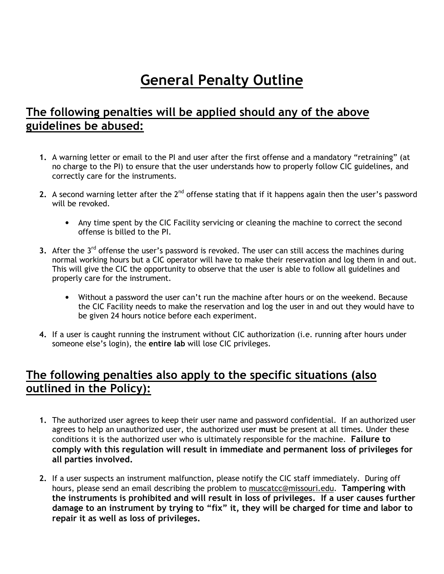# General Penalty Outline

#### The following penalties will be applied should any of the above guidelines be abused:

- 1. A warning letter or email to the PI and user after the first offense and a mandatory "retraining" (at no charge to the PI) to ensure that the user understands how to properly follow CIC guidelines, and correctly care for the instruments.
- 2. A second warning letter after the  $2^{nd}$  offense stating that if it happens again then the user's password will be revoked.
	- Any time spent by the CIC Facility servicing or cleaning the machine to correct the second offense is billed to the PI.
- 3. After the 3<sup>rd</sup> offense the user's password is revoked. The user can still access the machines during normal working hours but a CIC operator will have to make their reservation and log them in and out. This will give the CIC the opportunity to observe that the user is able to follow all guidelines and properly care for the instrument.
	- Without a password the user can't run the machine after hours or on the weekend. Because the CIC Facility needs to make the reservation and log the user in and out they would have to be given 24 hours notice before each experiment.
- 4. If a user is caught running the instrument without CIC authorization (i.e. running after hours under someone else's login), the entire lab will lose CIC privileges.

#### The following penalties also apply to the specific situations (also outlined in the Policy):

- 1. The authorized user agrees to keep their user name and password confidential. If an authorized user agrees to help an unauthorized user, the authorized user must be present at all times. Under these conditions it is the authorized user who is ultimately responsible for the machine. Failure to comply with this regulation will result in immediate and permanent loss of privileges for all parties involved.
- 2. If a user suspects an instrument malfunction, please notify the CIC staff immediately. During off hours, please send an email describing the problem to muscatcc@missouri.edu. Tampering with the instruments is prohibited and will result in loss of privileges. If a user causes further damage to an instrument by trying to "fix" it, they will be charged for time and labor to repair it as well as loss of privileges.